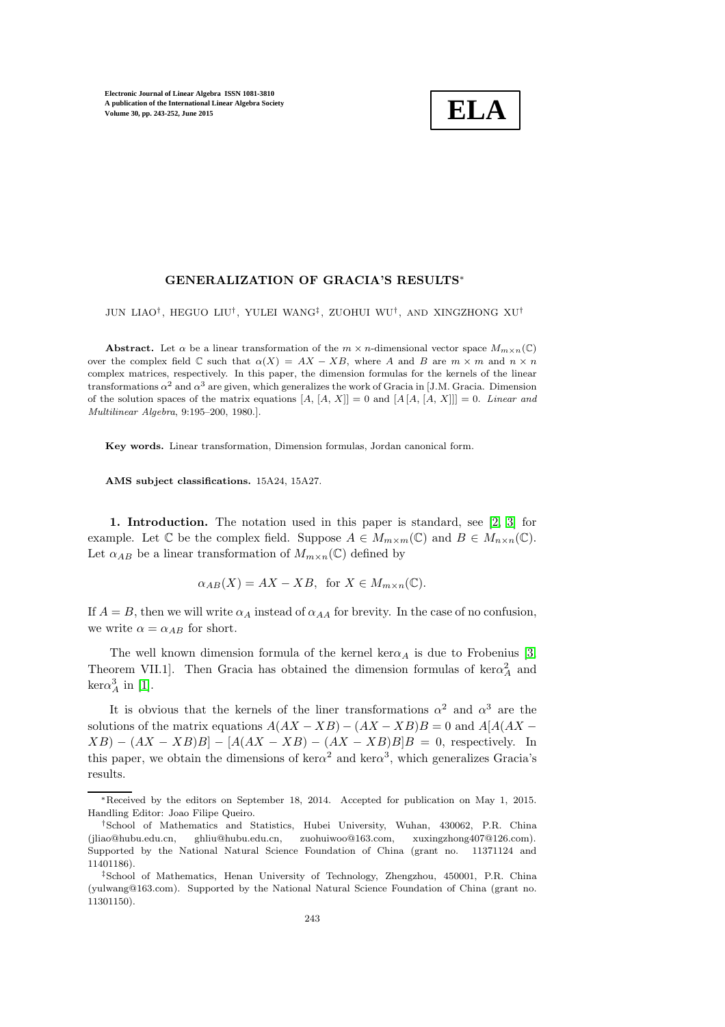

### GENERALIZATION OF GRACIA'S RESULTS<sup>∗</sup>

JUN LIAO† , HEGUO LIU† , YULEI WANG‡ , ZUOHUI WU† , AND XINGZHONG XU†

**Abstract.** Let  $\alpha$  be a linear transformation of the  $m \times n$ -dimensional vector space  $M_{m \times n}(\mathbb{C})$ over the complex field  $\mathbb C$  such that  $\alpha(X) = AX - XB$ , where A and B are  $m \times m$  and  $n \times n$ complex matrices, respectively. In this paper, the dimension formulas for the kernels of the linear transformations  $\alpha^2$  and  $\alpha^3$  are given, which generalizes the work of Gracia in [J.M. Gracia. Dimension of the solution spaces of the matrix equations  $[A, [A, X]] = 0$  and  $[A, [A, X]]] = 0$ . *Linear and Multilinear Algebra*, 9:195–200, 1980.].

Key words. Linear transformation, Dimension formulas, Jordan canonical form.

AMS subject classifications. 15A24, 15A27.

1. Introduction. The notation used in this paper is standard, see [\[2,](#page-9-0) [3\]](#page-9-1) for example. Let  $\mathbb C$  be the complex field. Suppose  $A \in M_{m \times m}(\mathbb C)$  and  $B \in M_{n \times n}(\mathbb C)$ . Let  $\alpha_{AB}$  be a linear transformation of  $M_{m \times n}(\mathbb{C})$  defined by

$$
\alpha_{AB}(X) = AX - XB, \text{ for } X \in M_{m \times n}(\mathbb{C}).
$$

If  $A = B$ , then we will write  $\alpha_A$  instead of  $\alpha_{AA}$  for brevity. In the case of no confusion, we write  $\alpha = \alpha_{AB}$  for short.

The well known dimension formula of the kernel ker $\alpha_A$  is due to Frobenius [\[3,](#page-9-1) Theorem VII.1]. Then Gracia has obtained the dimension formulas of  $\ker \alpha_A^2$  and  $\text{ker}\alpha_A^3$  in [\[1\]](#page-9-2).

It is obvious that the kernels of the liner transformations  $\alpha^2$  and  $\alpha^3$  are the solutions of the matrix equations  $A(AX - XB) - (AX - XB)B = 0$  and  $A[A(AX XB$ ) –  $(AX - XB)B$ ] –  $[A(AX - XB) - (AX - XB)B]B = 0$ , respectively. In this paper, we obtain the dimensions of ker $\alpha^2$  and ker $\alpha^3$ , which generalizes Gracia's results.

<sup>∗</sup>Received by the editors on September 18, 2014. Accepted for publication on May 1, 2015. Handling Editor: Joao Filipe Queiro.

<sup>†</sup>School of Mathematics and Statistics, Hubei University, Wuhan, 430062, P.R. China (jliao@hubu.edu.cn, ghliu@hubu.edu.cn, zuohuiwoo@163.com, xuxingzhong407@126.com). Supported by the National Natural Science Foundation of China (grant no. 11371124 and 11401186).

<sup>‡</sup>School of Mathematics, Henan University of Technology, Zhengzhou, 450001, P.R. China (yulwang@163.com). Supported by the National Natural Science Foundation of China (grant no. 11301150).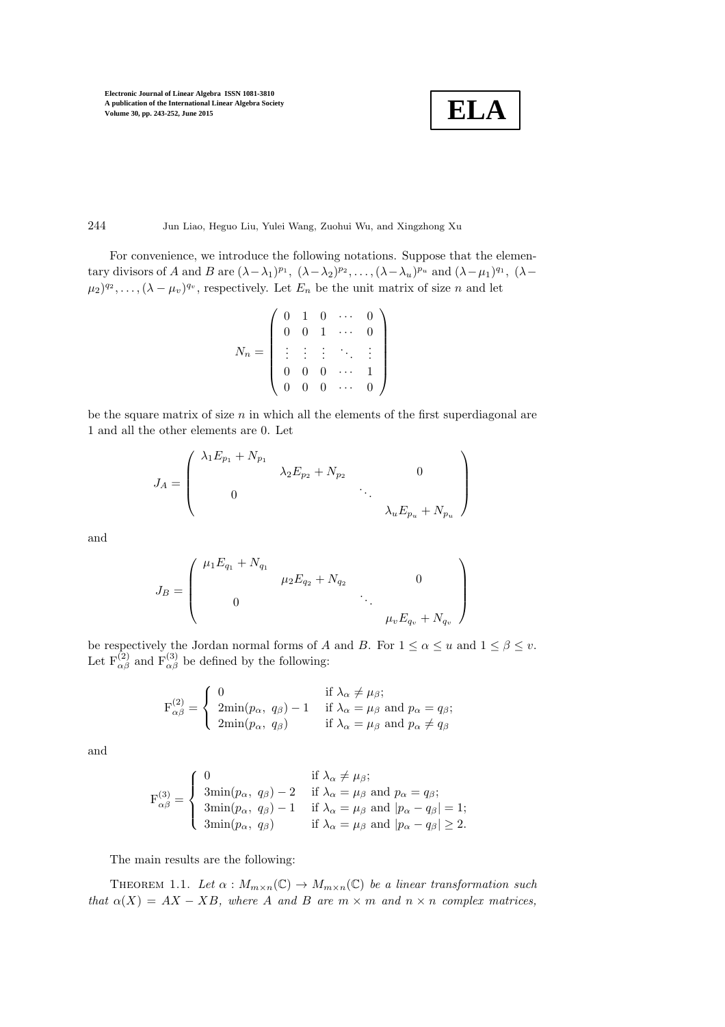$$
\boxed{\textbf{ELA}}
$$

# 244 Jun Liao, Heguo Liu, Yulei Wang, Zuohui Wu, and Xingzhong Xu

For convenience, we introduce the following notations. Suppose that the elementary divisors of A and B are  $(\lambda - \lambda_1)^{p_1}$ ,  $(\lambda - \lambda_2)^{p_2}$ , ...,  $(\lambda - \lambda_u)^{p_u}$  and  $(\lambda - \mu_1)^{q_1}$ ,  $(\lambda (\mu_2)^{q_2}, \ldots, (\lambda - \mu_v)^{q_v}$ , respectively. Let  $E_n$  be the unit matrix of size n and let

$$
N_n = \left( \begin{array}{cccc} 0 & 1 & 0 & \cdots & 0 \\ 0 & 0 & 1 & \cdots & 0 \\ \vdots & \vdots & \vdots & \ddots & \vdots \\ 0 & 0 & 0 & \cdots & 1 \\ 0 & 0 & 0 & \cdots & 0 \end{array} \right)
$$

be the square matrix of size  $n$  in which all the elements of the first superdiagonal are 1 and all the other elements are 0. Let

$$
J_A = \begin{pmatrix} \lambda_1 E_{p_1} + N_{p_1} & & & & \\ & \lambda_2 E_{p_2} + N_{p_2} & & 0 & \\ & & \ddots & & \\ 0 & & & \lambda_u E_{p_u} + N_{p_u} \end{pmatrix}
$$

and

$$
J_B = \begin{pmatrix} \mu_1 E_{q_1} + N_{q_1} & & & & \\ & \mu_2 E_{q_2} + N_{q_2} & & 0 & \\ & & \ddots & & \\ 0 & & & \mu_v E_{q_v} + N_{q_v} \end{pmatrix}
$$

be respectively the Jordan normal forms of A and B. For  $1 \leq \alpha \leq u$  and  $1 \leq \beta \leq v$ . Let  $F^{(2)}_{\alpha\beta}$  and  $F^{(3)}_{\alpha\beta}$  be defined by the following:

$$
\mathbf{F}_{\alpha\beta}^{(2)} = \begin{cases} 0 & \text{if } \lambda_{\alpha} \neq \mu_{\beta}; \\ 2\min(p_{\alpha}, q_{\beta}) - 1 & \text{if } \lambda_{\alpha} = \mu_{\beta} \text{ and } p_{\alpha} = q_{\beta}; \\ 2\min(p_{\alpha}, q_{\beta}) & \text{if } \lambda_{\alpha} = \mu_{\beta} \text{ and } p_{\alpha} \neq q_{\beta} \end{cases}
$$

and

$$
\mathbf{F}_{\alpha\beta}^{(3)} = \begin{cases} 0 & \text{if } \lambda_{\alpha} \neq \mu_{\beta}; \\ 3\min(p_{\alpha}, q_{\beta}) - 2 & \text{if } \lambda_{\alpha} = \mu_{\beta} \text{ and } p_{\alpha} = q_{\beta}; \\ 3\min(p_{\alpha}, q_{\beta}) - 1 & \text{if } \lambda_{\alpha} = \mu_{\beta} \text{ and } |p_{\alpha} - q_{\beta}| = 1; \\ 3\min(p_{\alpha}, q_{\beta}) & \text{if } \lambda_{\alpha} = \mu_{\beta} \text{ and } |p_{\alpha} - q_{\beta}| \ge 2. \end{cases}
$$

<span id="page-1-0"></span>The main results are the following:

THEOREM 1.1. Let  $\alpha : M_{m \times n}(\mathbb{C}) \to M_{m \times n}(\mathbb{C})$  be a linear transformation such that  $\alpha(X) = AX - XB$ , where A and B are  $m \times m$  and  $n \times n$  complex matrices,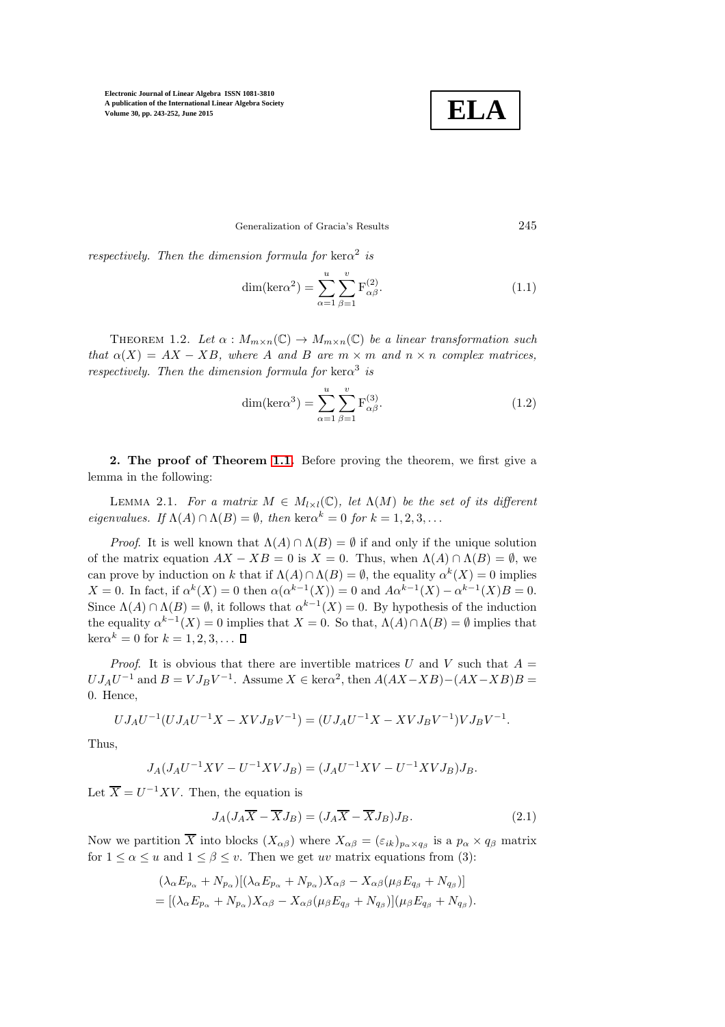

### Generalization of Gracia's Results 245

respectively. Then the dimension formula for  $\ker \alpha^2$  is

$$
\dim(\ker\alpha^2) = \sum_{\alpha=1}^u \sum_{\beta=1}^v F_{\alpha\beta}^{(2)}.
$$
\n(1.1)

<span id="page-2-1"></span>THEOREM 1.2. Let  $\alpha : M_{m \times n}(\mathbb{C}) \to M_{m \times n}(\mathbb{C})$  be a linear transformation such that  $\alpha(X) = AX - XB$ , where A and B are  $m \times m$  and  $n \times n$  complex matrices, respectively. Then the dimension formula for  $\ker \alpha^3$  is

<span id="page-2-0"></span>
$$
\dim(\ker\alpha^3) = \sum_{\alpha=1}^u \sum_{\beta=1}^v F_{\alpha\beta}^{(3)}.
$$
\n(1.2)

2. The proof of Theorem [1.1.](#page-1-0) Before proving the theorem, we first give a lemma in the following:

LEMMA 2.1. For a matrix  $M \in M_{l \times l}(\mathbb{C})$ , let  $\Lambda(M)$  be the set of its different *eigenvalues.* If  $\Lambda(A) \cap \Lambda(B) = \emptyset$ , then ker $\alpha^k = 0$  for  $k = 1, 2, 3, \dots$ 

*Proof.* It is well known that  $\Lambda(A) \cap \Lambda(B) = \emptyset$  if and only if the unique solution of the matrix equation  $AX - XB = 0$  is  $X = 0$ . Thus, when  $\Lambda(A) \cap \Lambda(B) = \emptyset$ , we can prove by induction on k that if  $\Lambda(A) \cap \Lambda(B) = \emptyset$ , the equality  $\alpha^{k}(X) = 0$  implies X = 0. In fact, if  $\alpha^{k}(X) = 0$  then  $\alpha(\alpha^{k-1}(X)) = 0$  and  $A\alpha^{k-1}(X) - \alpha^{k-1}(X)B = 0$ . Since  $\Lambda(A) \cap \Lambda(B) = \emptyset$ , it follows that  $\alpha^{k-1}(X) = 0$ . By hypothesis of the induction the equality  $\alpha^{k-1}(X) = 0$  implies that  $X = 0$ . So that,  $\Lambda(A) \cap \Lambda(B) = \emptyset$  implies that  $\ker \alpha^k = 0$  for  $k = 1, 2, 3, \dots$ 

*Proof.* It is obvious that there are invertible matrices U and V such that  $A =$  $U J_A U^{-1}$  and  $B = V J_B V^{-1}$ . Assume  $X \in \text{ker}\alpha^2$ , then  $A(AX - XB) - (AX - XB)B =$ 0. Hence,

$$
UJ_AU^{-1}(UJ_AU^{-1}X-XVJ_BV^{-1})=(UJ_AU^{-1}X-XVJ_BV^{-1})VJ_BV^{-1}.
$$

Thus,

$$
J_A(J_AU^{-1}XV - U^{-1}XVJ_B) = (J_AU^{-1}XV - U^{-1}XVJ_B)J_B.
$$

Let  $\overline{X} = U^{-1}XV$ . Then, the equation is

$$
J_A(J_A \overline{X} - \overline{X} J_B) = (J_A \overline{X} - \overline{X} J_B) J_B.
$$
\n(2.1)

Now we partition  $\overline{X}$  into blocks  $(X_{\alpha\beta})$  where  $X_{\alpha\beta} = (\varepsilon_{ik})_{p_\alpha \times q_\beta}$  is a  $p_\alpha \times q_\beta$  matrix for  $1 \leq \alpha \leq u$  and  $1 \leq \beta \leq v$ . Then we get uv matrix equations from (3):

$$
(\lambda_{\alpha} E_{p_{\alpha}} + N_{p_{\alpha}}) [(\lambda_{\alpha} E_{p_{\alpha}} + N_{p_{\alpha}}) X_{\alpha\beta} - X_{\alpha\beta} (\mu_{\beta} E_{q_{\beta}} + N_{q_{\beta}})]
$$
  
= 
$$
[(\lambda_{\alpha} E_{p_{\alpha}} + N_{p_{\alpha}}) X_{\alpha\beta} - X_{\alpha\beta} (\mu_{\beta} E_{q_{\beta}} + N_{q_{\beta}})] (\mu_{\beta} E_{q_{\beta}} + N_{q_{\beta}}).
$$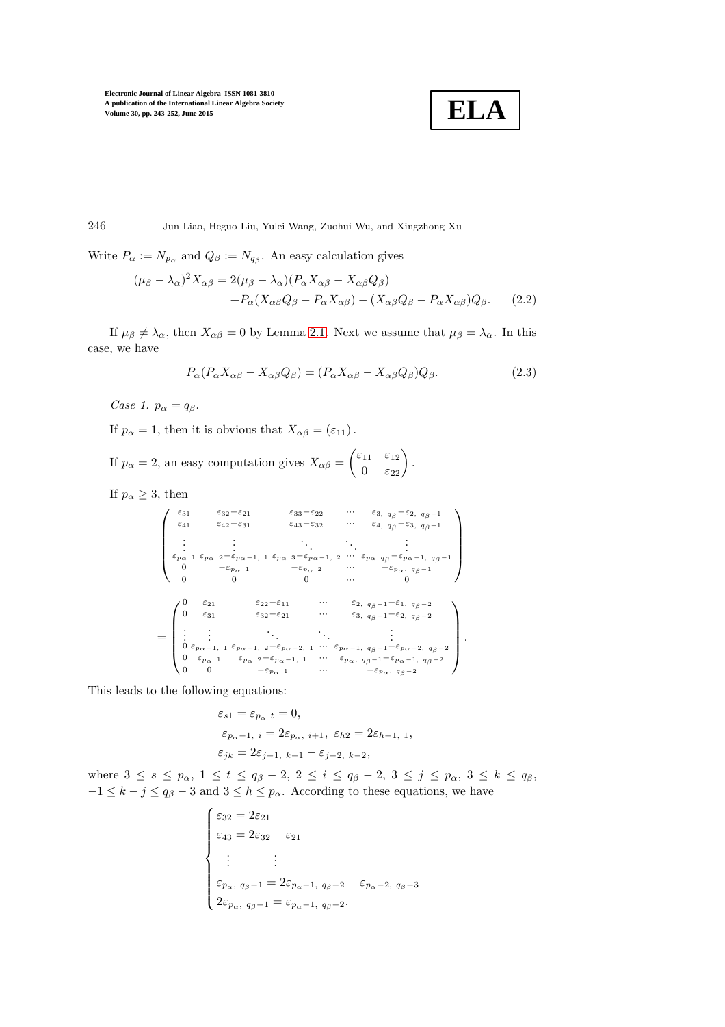

246 Jun Liao, Heguo Liu, Yulei Wang, Zuohui Wu, and Xingzhong Xu

Write  $P_{\alpha} := N_{p_{\alpha}}$  and  $Q_{\beta} := N_{q_{\beta}}$ . An easy calculation gives

$$
(\mu_{\beta} - \lambda_{\alpha})^2 X_{\alpha\beta} = 2(\mu_{\beta} - \lambda_{\alpha})(P_{\alpha}X_{\alpha\beta} - X_{\alpha\beta}Q_{\beta})
$$

$$
+ P_{\alpha}(X_{\alpha\beta}Q_{\beta} - P_{\alpha}X_{\alpha\beta}) - (X_{\alpha\beta}Q_{\beta} - P_{\alpha}X_{\alpha\beta})Q_{\beta}.
$$
 (2.2)

If  $\mu_{\beta} \neq \lambda_{\alpha}$ , then  $X_{\alpha\beta} = 0$  by Lemma [2.1.](#page-2-0) Next we assume that  $\mu_{\beta} = \lambda_{\alpha}$ . In this case, we have

$$
P_{\alpha}(P_{\alpha}X_{\alpha\beta} - X_{\alpha\beta}Q_{\beta}) = (P_{\alpha}X_{\alpha\beta} - X_{\alpha\beta}Q_{\beta})Q_{\beta}.
$$
\n(2.3)

Case 1.  $p_{\alpha} = q_{\beta}$ .

If  $p_{\alpha} = 1$ , then it is obvious that  $X_{\alpha\beta} = (\varepsilon_{11})$ .

If  $p_{\alpha} = 2$ , an easy computation gives  $X_{\alpha\beta} = \begin{pmatrix} \varepsilon_{11} & \varepsilon_{12} \\ 0 & \varepsilon_{22} \end{pmatrix}$ .

If  $p_{\alpha} \geq 3$ , then

$$
\begin{pmatrix}\n\varepsilon_{31} & \varepsilon_{32} - \varepsilon_{21} & \varepsilon_{33} - \varepsilon_{22} & \cdots & \varepsilon_{3, q_{\beta}} - \varepsilon_{2, q_{\beta}-1} \\
\varepsilon_{41} & \varepsilon_{42} - \varepsilon_{31} & \varepsilon_{43} - \varepsilon_{32} & \cdots & \varepsilon_{4, q_{\beta}} - \varepsilon_{3, q_{\beta}-1} \\
\vdots & \vdots & \ddots & \vdots \\
\varepsilon_{p_{\alpha}} & \varepsilon_{p_{\alpha}} & \varepsilon_{p_{\alpha}-1, 1} & \varepsilon_{p_{\alpha}} & \varepsilon_{p_{\alpha}-1, 2} & \cdots & \varepsilon_{p_{\alpha}} & \varepsilon_{q_{\beta}-1} & \varepsilon_{p_{\alpha}-1, q_{\beta}-1} \\
0 & -\varepsilon_{p_{\alpha}} & 0 & 0 & \cdots & 0\n\end{pmatrix}
$$
\n
$$
= \begin{pmatrix}\n0 & \varepsilon_{21} & \varepsilon_{22} - \varepsilon_{11} & \cdots & \varepsilon_{2, q_{\beta}-1} - \varepsilon_{1, q_{\beta}-2} \\
0 & \varepsilon_{31} & \varepsilon_{32} - \varepsilon_{21} & \cdots & \varepsilon_{3, q_{\beta}-1} - \varepsilon_{1, q_{\beta}-2} \\
\vdots & \vdots & \ddots & \vdots & \vdots \\
0 & \varepsilon_{p_{\alpha}-1, 1} & \varepsilon_{p_{\alpha}-1, 2} - \varepsilon_{p_{\alpha}-2, 1} & \cdots & \varepsilon_{p_{\alpha}-1, q_{\beta}-1} - \varepsilon_{p_{\alpha}-2, q_{\beta}-2} \\
0 & \varepsilon_{p_{\alpha}} & 1 & \varepsilon_{p_{\alpha}} & \varepsilon_{p_{\alpha}} & \varepsilon_{p_{\alpha}-1}, & \cdots & \varepsilon_{p_{\alpha}, q_{\beta}-1} - \varepsilon_{p_{\alpha}-1, q_{\beta}-2} \\
0 & 0 & -\varepsilon_{p_{\alpha}} & 1 & \cdots & \varepsilon_{p_{\alpha}, q_{\beta}-2}\n\end{pmatrix}
$$

This leads to the following equations:

$$
\begin{aligned} \varepsilon_{s1} &= \varepsilon_{p_\alpha\ t} = 0, \\ \varepsilon_{p_\alpha-1,\ i} &= 2\varepsilon_{p_\alpha,\ i+1,\ \varepsilon_{h2}} = 2\varepsilon_{h-1,\ 1}, \\ \varepsilon_{jk} &= 2\varepsilon_{j-1,\ k-1} - \varepsilon_{j-2,\ k-2}, \end{aligned}
$$

where  $3 \leq s \leq p_{\alpha}, 1 \leq t \leq q_{\beta}-2, 2 \leq i \leq q_{\beta}-2, 3 \leq j \leq p_{\alpha}, 3 \leq k \leq q_{\beta},$  $-1 \leq k - j \leq q_{\beta} - 3$  and  $3 \leq k \leq p_{\alpha}$ . According to these equations, we have

$$
\begin{cases}\n\varepsilon_{32} = 2\varepsilon_{21} \\
\varepsilon_{43} = 2\varepsilon_{32} - \varepsilon_{21} \\
\vdots \\
\varepsilon_{p_{\alpha}, q_{\beta}-1} = 2\varepsilon_{p_{\alpha}-1, q_{\beta}-2} - \varepsilon_{p_{\alpha}-2, q_{\beta}-3} \\
2\varepsilon_{p_{\alpha}, q_{\beta}-1} = \varepsilon_{p_{\alpha}-1, q_{\beta}-2}.\n\end{cases}
$$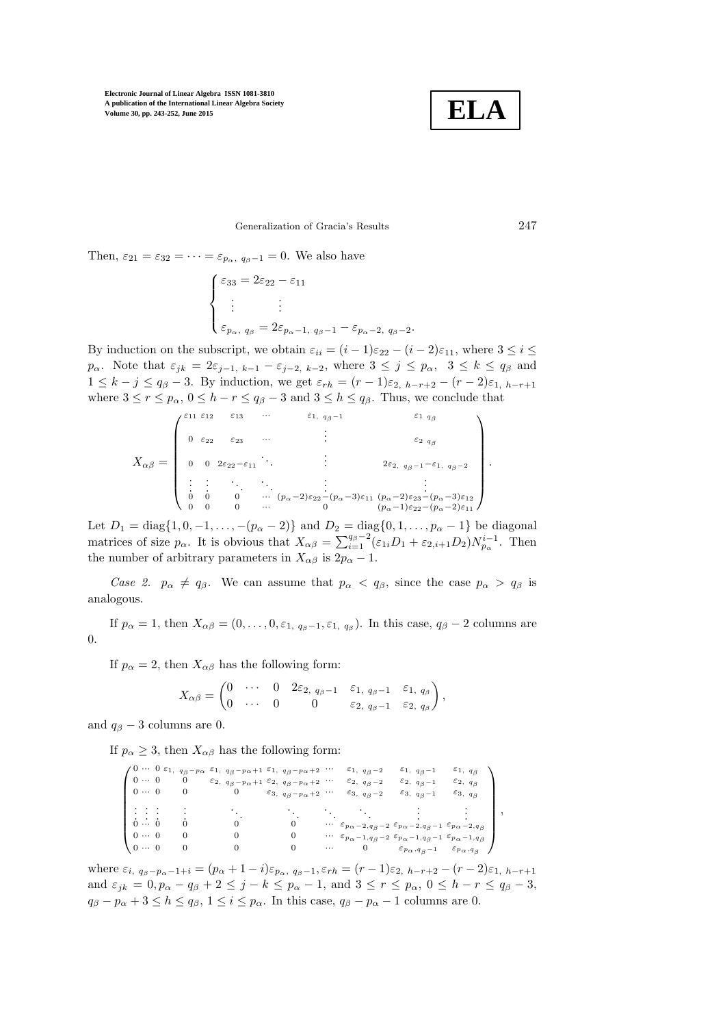

Generalization of Gracia's Results 247

Then,  $\varepsilon_{21} = \varepsilon_{32} = \cdots = \varepsilon_{p_\alpha, q_{\beta}-1} = 0$ . We also have

$$
\begin{cases}\n\varepsilon_{33} = 2\varepsilon_{22} - \varepsilon_{11} \\
\vdots \\
\varepsilon_{p_{\alpha}, q_{\beta}} = 2\varepsilon_{p_{\alpha}-1, q_{\beta}-1} - \varepsilon_{p_{\alpha}-2, q_{\beta}-2}.\n\end{cases}
$$

By induction on the subscript, we obtain  $\varepsilon_{ii} = (i-1)\varepsilon_{22} - (i-2)\varepsilon_{11}$ , where  $3 \le i \le$  $p_{\alpha}$ . Note that  $\varepsilon_{jk} = 2\varepsilon_{j-1, k-1} - \varepsilon_{j-2, k-2}$ , where  $3 \leq j \leq p_{\alpha}, 3 \leq k \leq q_{\beta}$  and  $1 \leq k - j \leq q_{\beta} - 3$ . By induction, we get  $\varepsilon_{rh} = (r - 1)\varepsilon_{2, h-r+2} - (r - 2)\varepsilon_{1, h-r+1}$ where  $3 \le r \le p_\alpha$ ,  $0 \le h - r \le q_\beta - 3$  and  $3 \le h \le q_\beta$ . Thus, we conclude that

$$
X_{\alpha\beta} = \begin{pmatrix} \varepsilon_{11} & \varepsilon_{12} & \varepsilon_{13} & \cdots & \varepsilon_{1, q_{\beta}-1} & & \varepsilon_{1, q_{\beta}} \\ 0 & \varepsilon_{22} & \varepsilon_{23} & \cdots & & \varepsilon_{2, q_{\beta}} \\ 0 & 0 & 2\varepsilon_{22}-\varepsilon_{11} & & & \varepsilon_{22} & q_{\beta} \\ \vdots & \vdots & \ddots & \vdots & & \vdots & \vdots \\ 0 & 0 & 0 & \cdots & (p_{\alpha}-2)\varepsilon_{22}-(p_{\alpha}-3)\varepsilon_{11} & (p_{\alpha}-2)\varepsilon_{23}-(p_{\alpha}-3)\varepsilon_{12} \\ 0 & 0 & 0 & \cdots & (p_{\alpha}-1)\varepsilon_{22}-(p_{\alpha}-2)\varepsilon_{11} \end{pmatrix}.
$$

Let  $D_1 = \text{diag}\{1, 0, -1, \ldots, -(p_\alpha - 2)\}\$  and  $D_2 = \text{diag}\{0, 1, \ldots, p_\alpha - 1\}\$  be diagonal matrices of size  $p_{\alpha}$ . It is obvious that  $X_{\alpha\beta} = \sum_{i=1}^{q_{\beta}-2} (\varepsilon_{1i}D_1 + \varepsilon_{2,i+1}D_2)N_{p_{\alpha}}^{i-1}$ . Then the number of arbitrary parameters in  $X_{\alpha\beta}$  is  $2p_{\alpha}-1$ .

Case 2.  $p_{\alpha} \neq q_{\beta}$ . We can assume that  $p_{\alpha} < q_{\beta}$ , since the case  $p_{\alpha} > q_{\beta}$  is analogous.

If  $p_{\alpha} = 1$ , then  $X_{\alpha\beta} = (0, \ldots, 0, \varepsilon_{1, q_{\beta}-1}, \varepsilon_{1, q_{\beta}})$ . In this case,  $q_{\beta} - 2$  columns are 0.

If  $p_{\alpha} = 2$ , then  $X_{\alpha\beta}$  has the following form:

$$
X_{\alpha\beta}=\begin{pmatrix}0&\cdots&0&2\varepsilon_{2, q_{\beta}-1}&\varepsilon_{1, q_{\beta}-1}&\varepsilon_{1, q_{\beta}}\\0&\cdots&0&0&\varepsilon_{2, q_{\beta}-1}&\varepsilon_{2, q_{\beta}}\end{pmatrix},
$$

and  $q_\beta - 3$  columns are 0.

If  $p_{\alpha} \geq 3$ , then  $X_{\alpha\beta}$  has the following form:

|              |  |   | $10 \cdots 0 \varepsilon_1$ , $q_\beta - p_\alpha \varepsilon_1$ , $q_\beta - p_\alpha + 1 \varepsilon_1$ , $q_\beta - p_\alpha + 2$ |                                            | $\varepsilon_1, q_\beta-2$                                                                                             | $\varepsilon_1, q_{\beta}-1$          | $\varepsilon_1, q_\beta$            |  |
|--------------|--|---|--------------------------------------------------------------------------------------------------------------------------------------|--------------------------------------------|------------------------------------------------------------------------------------------------------------------------|---------------------------------------|-------------------------------------|--|
| $0 \cdots 0$ |  | U | $\varepsilon_2$ , $q_\beta - p_\alpha + 1 \varepsilon_2$ , $q_\beta - p_\alpha + 2$                                                  |                                            | $\varepsilon_2$ , $q_\beta - 2$                                                                                        | $\varepsilon_2$ , $q_\beta - 1$       | $\varepsilon_2$ , $q_\beta$         |  |
| $0 \cdots 0$ |  |   |                                                                                                                                      | $\varepsilon_3, q_\beta-p_\alpha+2 \cdots$ | $\varepsilon_{3, q_{\beta}-2}$                                                                                         | $\varepsilon_3, q_\beta-1$            | $\varepsilon_{3, q}$                |  |
|              |  |   |                                                                                                                                      |                                            |                                                                                                                        |                                       |                                     |  |
| $0 \cdots 0$ |  |   |                                                                                                                                      |                                            | $\cdots \quad \varepsilon_{p\alpha-2,q_\beta-2} \ \varepsilon_{p\alpha-2,q_\beta-1} \ \varepsilon_{p\alpha-2,q_\beta}$ |                                       |                                     |  |
| $0 \cdots 0$ |  |   |                                                                                                                                      |                                            | $\cdots \quad \varepsilon_{p\alpha-1,q_\beta-2} \ \varepsilon_{p\alpha-1,q_\beta-1} \ \varepsilon_{p\alpha-1,q_\beta}$ |                                       |                                     |  |
| $0 \cdots 0$ |  |   |                                                                                                                                      | $\cdots$                                   |                                                                                                                        | $\varepsilon_{p\alpha\, ,q\beta\,-1}$ | $\varepsilon_{p\alpha\, ,\,q\beta}$ |  |

where  $\varepsilon_{i, q_{\beta}-p_{\alpha}-1+i} = (p_{\alpha}+1-i)\varepsilon_{p_{\alpha}, q_{\beta}-1}, \varepsilon_{r} = (r-1)\varepsilon_{2, h-r+2} - (r-2)\varepsilon_{1, h-r+1}$ and  $\varepsilon_{jk} = 0$ ,  $p_{\alpha} - q_{\beta} + 2 \le j - k \le p_{\alpha} - 1$ , and  $3 \le r \le p_{\alpha}$ ,  $0 \le h - r \le q_{\beta} - 3$ ,  $q_{\beta} - p_{\alpha} + 3 \le h \le q_{\beta}, 1 \le i \le p_{\alpha}$ . In this case,  $q_{\beta} - p_{\alpha} - 1$  columns are 0.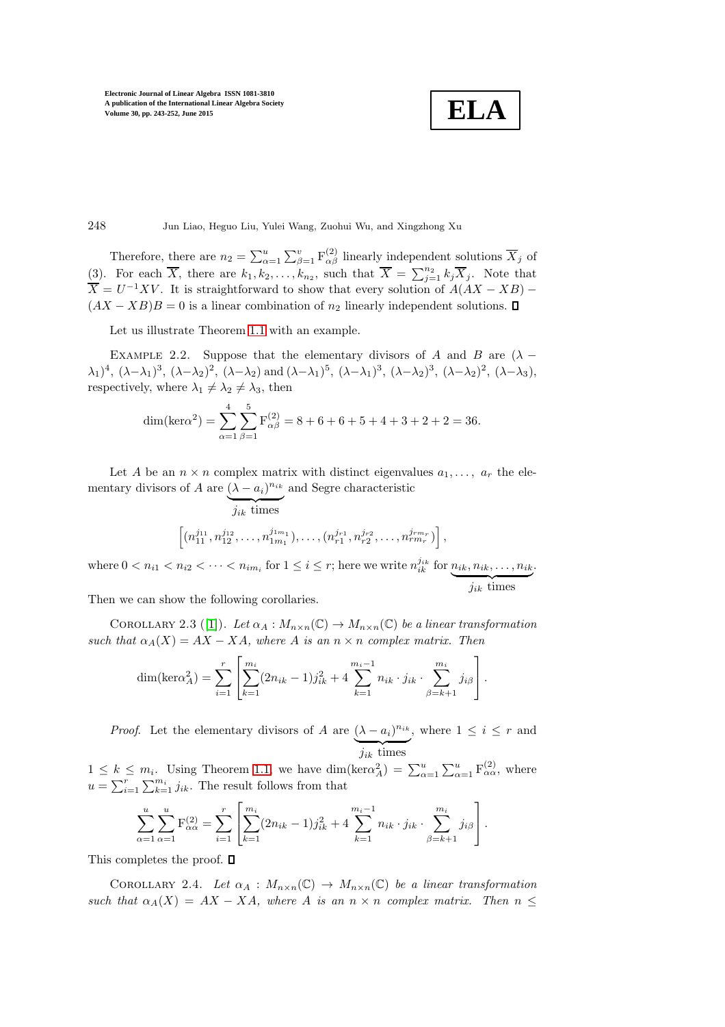**ELA**

248 Jun Liao, Heguo Liu, Yulei Wang, Zuohui Wu, and Xingzhong Xu

Therefore, there are  $n_2 = \sum_{\alpha=1}^u \sum_{\beta=1}^v \mathbf{F}_{\alpha\beta}^{(2)}$  linearly independent solutions  $\overline{X}_j$  of (3). For each  $\overline{X}$ , there are  $k_1, k_2, \ldots, k_{n_2}$ , such that  $\overline{X} = \sum_{j=1}^{n_2} k_j \overline{X}_j$ . Note that  $\overline{X} = U^{-1}XV$ . It is straightforward to show that every solution of  $A(AX - XB)$  –  $(AX - XB)B = 0$  is a linear combination of  $n_2$  linearly independent solutions.  $\square$ 

Let us illustrate Theorem [1.1](#page-1-0) with an example.

EXAMPLE 2.2. Suppose that the elementary divisors of A and B are  $(\lambda (\lambda_1)^4$ ,  $(\lambda-\lambda_1)^3$ ,  $(\lambda-\lambda_2)^2$ ,  $(\lambda-\lambda_2)$  and  $(\lambda-\lambda_1)^5$ ,  $(\lambda-\lambda_1)^3$ ,  $(\lambda-\lambda_2)^3$ ,  $(\lambda-\lambda_2)^2$ ,  $(\lambda-\lambda_3)$ , respectively, where  $\lambda_1 \neq \lambda_2 \neq \lambda_3$ , then

$$
\dim(\ker \alpha^2) = \sum_{\alpha=1}^4 \sum_{\beta=1}^5 F_{\alpha\beta}^{(2)} = 8 + 6 + 6 + 5 + 4 + 3 + 2 + 2 = 36.
$$

Let A be an  $n \times n$  complex matrix with distinct eigenvalues  $a_1, \ldots, a_r$  the elementary divisors of A are  $(\lambda - a_i)^{n_{ik}}$ and Segre characteristic

$$
\overbrace{\left[(n_{11}^{j_{11}}, n_{12}^{j_{12}}, \dots, n_{1m_1}^{j_{1m_1}}), \dots, (n_{r1}^{j_{r1}}, n_{r2}^{j_{r2}}, \dots, n_{rm_r}^{j_{rm_r}})\right]}^{j_{tk}},
$$

where  $0 < n_{i1} < n_{i2} < \cdots < n_{im_i}$  for  $1 \leq i \leq r$ ; here we write  $n_{ik}^{j_{ik}}$  for  $n_{ik}, n_{ik}, \ldots, n_{ik}$  $j_{ik}$  times .

<span id="page-5-0"></span>Then we can show the following corollaries.

COROLLARY 2.3 ([\[1\]](#page-9-2)). Let  $\alpha_A : M_{n \times n}(\mathbb{C}) \to M_{n \times n}(\mathbb{C})$  be a linear transformation such that  $\alpha_A(X) = AX - XA$ , where A is an  $n \times n$  complex matrix. Then

$$
\dim(\ker \alpha_A^2) = \sum_{i=1}^r \left[ \sum_{k=1}^{m_i} (2n_{ik} - 1) j_{ik}^2 + 4 \sum_{k=1}^{m_i - 1} n_{ik} \cdot j_{ik} \cdot \sum_{\beta=k+1}^{m_i} j_{i\beta} \right].
$$

*Proof.* Let the elementary divisors of A are  $(\lambda - a_i)^{n_{ik}}$  $j_{ik}$  times , where  $1 \leq i \leq r$  and

 $1 \leq k \leq m_i$ . Using Theorem [1.1,](#page-1-0) we have  $\dim(\text{ker}\alpha_A^2) = \sum_{\alpha=1}^u \sum_{\alpha=1}^u \mathcal{F}_{\alpha\alpha}^{(2)}$ , where  $u = \sum_{i=1}^{r} \sum_{k=1}^{m_i} j_{ik}$ . The result follows from that

$$
\sum_{\alpha=1}^{u} \sum_{\alpha=1}^{u} \mathbf{F}_{\alpha\alpha}^{(2)} = \sum_{i=1}^{r} \left[ \sum_{k=1}^{m_i} (2n_{ik} - 1) j_{ik}^2 + 4 \sum_{k=1}^{m_i - 1} n_{ik} \cdot j_{ik} \cdot \sum_{\beta=k+1}^{m_i} j_{i\beta} \right].
$$

This completes the proof.  $\Box$ 

COROLLARY 2.4. Let  $\alpha_A : M_{n \times n}(\mathbb{C}) \to M_{n \times n}(\mathbb{C})$  be a linear transformation such that  $\alpha_A(X) = AX - XA$ , where A is an  $n \times n$  complex matrix. Then  $n \leq$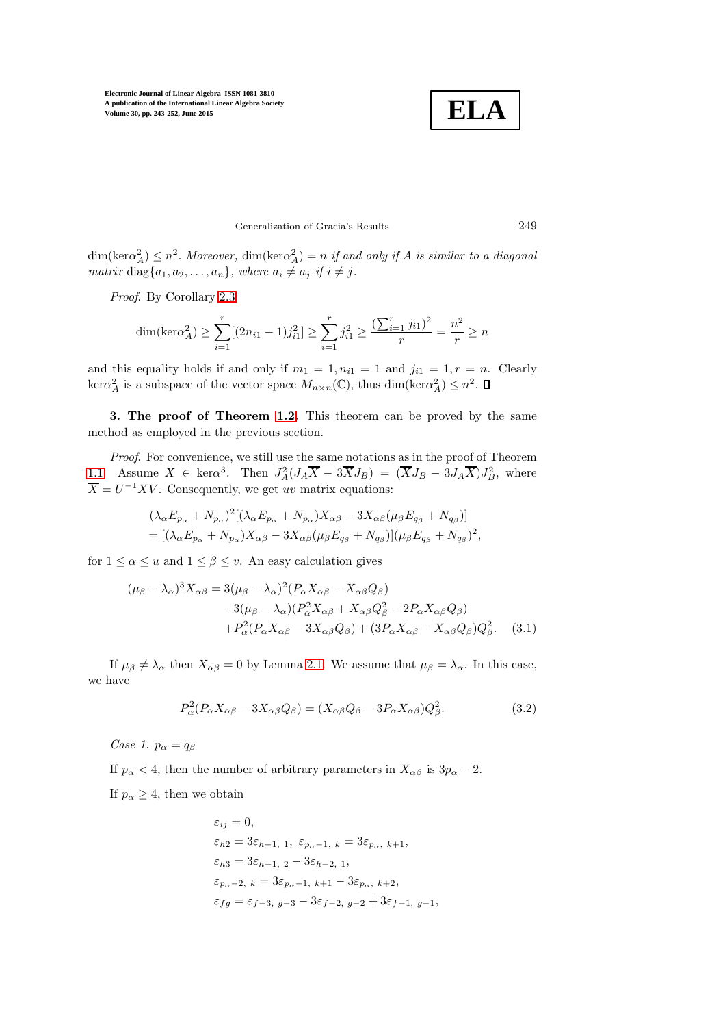

## Generalization of Gracia's Results 249

 $\dim(\text{ker}\alpha_A^2) \leq n^2$ . Moreover,  $\dim(\text{ker}\alpha_A^2) = n$  if and only if A is similar to a diagonal matrix diag $\{a_1, a_2, \ldots, a_n\}$ , where  $a_i \neq a_j$  if  $i \neq j$ .

Proof. By Corollary [2.3,](#page-5-0)

$$
\dim(\text{ker}\alpha_A^2) \ge \sum_{i=1}^r [(2n_{i1} - 1)j_{i1}^2] \ge \sum_{i=1}^r j_{i1}^2 \ge \frac{(\sum_{i=1}^r j_{i1})^2}{r} = \frac{n^2}{r} \ge n
$$

and this equality holds if and only if  $m_1 = 1, n_{i1} = 1$  and  $j_{i1} = 1, r = n$ . Clearly  $\ker \alpha_A^2$  is a subspace of the vector space  $M_{n \times n}(\mathbb{C})$ , thus  $\dim(\ker \alpha_A^2) \leq n^2$ .

3. The proof of Theorem [1.2.](#page-2-1) This theorem can be proved by the same method as employed in the previous section.

Proof. For convenience, we still use the same notations as in the proof of Theorem [1.1.](#page-1-0) Assume  $X \in \text{ker}\alpha^3$ . Then  $J_A^2(J_A\overline{X} - 3\overline{X}J_B) = (\overline{X}J_B - 3J_A\overline{X})J_B^2$ , where  $\overline{X} = U^{-1}XV$ . Consequently, we get uv matrix equations:

$$
(\lambda_{\alpha}E_{p_{\alpha}} + N_{p_{\alpha}})^{2}[(\lambda_{\alpha}E_{p_{\alpha}} + N_{p_{\alpha}})X_{\alpha\beta} - 3X_{\alpha\beta}(\mu_{\beta}E_{q_{\beta}} + N_{q_{\beta}})]
$$
  
= 
$$
[(\lambda_{\alpha}E_{p_{\alpha}} + N_{p_{\alpha}})X_{\alpha\beta} - 3X_{\alpha\beta}(\mu_{\beta}E_{q_{\beta}} + N_{q_{\beta}})](\mu_{\beta}E_{q_{\beta}} + N_{q_{\beta}})^{2},
$$

for  $1 \le \alpha \le u$  and  $1 \le \beta \le v$ . An easy calculation gives

$$
(\mu_{\beta} - \lambda_{\alpha})^3 X_{\alpha\beta} = 3(\mu_{\beta} - \lambda_{\alpha})^2 (P_{\alpha} X_{\alpha\beta} - X_{\alpha\beta} Q_{\beta})
$$
  
\n
$$
-3(\mu_{\beta} - \lambda_{\alpha}) (P_{\alpha}^2 X_{\alpha\beta} + X_{\alpha\beta} Q_{\beta}^2 - 2P_{\alpha} X_{\alpha\beta} Q_{\beta})
$$
  
\n
$$
+ P_{\alpha}^2 (P_{\alpha} X_{\alpha\beta} - 3X_{\alpha\beta} Q_{\beta}) + (3P_{\alpha} X_{\alpha\beta} - X_{\alpha\beta} Q_{\beta}) Q_{\beta}^2. \quad (3.1)
$$

If  $\mu_{\beta} \neq \lambda_{\alpha}$  then  $X_{\alpha\beta} = 0$  by Lemma [2.1.](#page-2-0) We assume that  $\mu_{\beta} = \lambda_{\alpha}$ . In this case, we have

$$
P_{\alpha}^{2}(P_{\alpha}X_{\alpha\beta} - 3X_{\alpha\beta}Q_{\beta}) = (X_{\alpha\beta}Q_{\beta} - 3P_{\alpha}X_{\alpha\beta})Q_{\beta}^{2}.
$$
\n(3.2)

Case 1.  $p_{\alpha} = q_{\beta}$ 

If  $p_{\alpha} < 4$ , then the number of arbitrary parameters in  $X_{\alpha\beta}$  is  $3p_{\alpha} - 2$ .

If  $p_{\alpha} \geq 4$ , then we obtain

$$
\begin{split} &\varepsilon_{ij}=0,\\ &\varepsilon_{h2}=3\varepsilon_{h-1,\ 1},\ \varepsilon_{p_\alpha-1,\ k}=3\varepsilon_{p_\alpha,\ k+1},\\ &\varepsilon_{h3}=3\varepsilon_{h-1,\ 2}-3\varepsilon_{h-2,\ 1},\\ &\varepsilon_{p_\alpha-2,\ k}=3\varepsilon_{p_\alpha-1,\ k+1}-3\varepsilon_{p_\alpha,\ k+2},\\ &\varepsilon_{fg}=\varepsilon_{f-3,\ g-3}-3\varepsilon_{f-2,\ g-2}+3\varepsilon_{f-1,\ g-1}, \end{split}
$$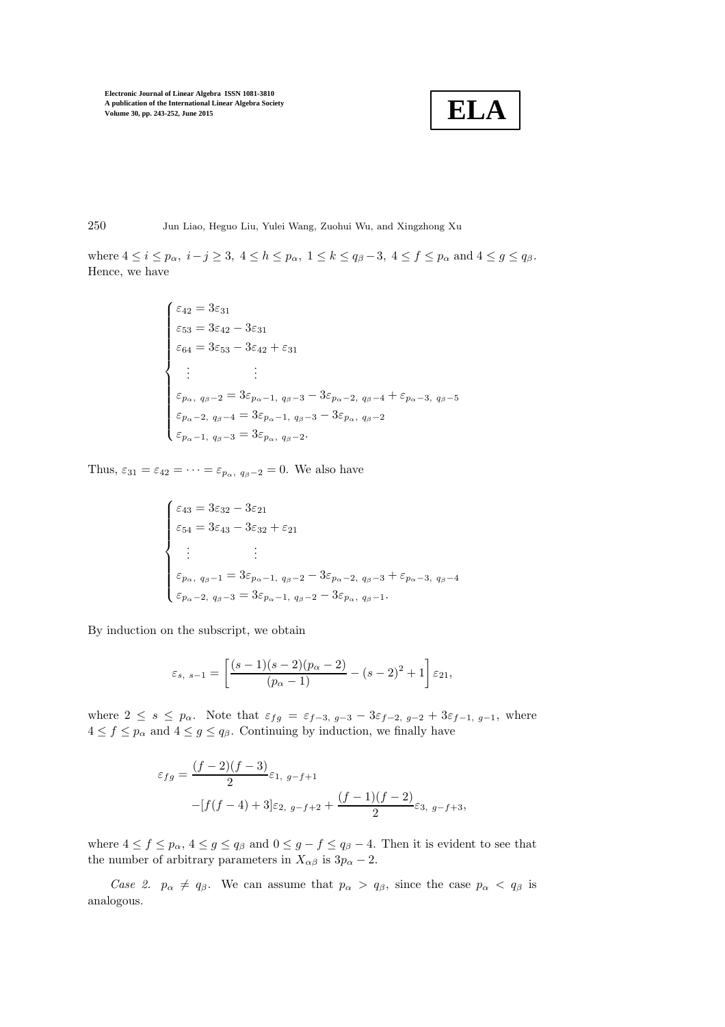$$
\boxed{\textbf{ELA}}
$$

250 Jun Liao, Heguo Liu, Yulei Wang, Zuohui Wu, and Xingzhong Xu

where  $4 \leq i \leq p_\alpha$ ,  $i - j \geq 3$ ,  $4 \leq h \leq p_\alpha$ ,  $1 \leq k \leq q_\beta - 3$ ,  $4 \leq f \leq p_\alpha$  and  $4 \leq g \leq q_\beta$ . Hence, we have

$$
\begin{cases}\n\varepsilon_{42} = 3\varepsilon_{31} \\
\varepsilon_{53} = 3\varepsilon_{42} - 3\varepsilon_{31} \\
\varepsilon_{64} = 3\varepsilon_{53} - 3\varepsilon_{42} + \varepsilon_{31} \\
\vdots \\
\varepsilon_{p_{\alpha}, q_{\beta}-2} = 3\varepsilon_{p_{\alpha}-1, q_{\beta}-3} - 3\varepsilon_{p_{\alpha}-2, q_{\beta}-4} + \varepsilon_{p_{\alpha}-3, q_{\beta}-5} \\
\varepsilon_{p_{\alpha}-2, q_{\beta}-4} = 3\varepsilon_{p_{\alpha}-1, q_{\beta}-3} - 3\varepsilon_{p_{\alpha}, q_{\beta}-2} \\
\varepsilon_{p_{\alpha}-1, q_{\beta}-3} = 3\varepsilon_{p_{\alpha}, q_{\beta}-2}.\n\end{cases}
$$

Thus,  $\varepsilon_{31} = \varepsilon_{42} = \cdots = \varepsilon_{p_\alpha, q_\beta - 2} = 0$ . We also have

$$
\begin{cases}\n\varepsilon_{43} = 3\varepsilon_{32} - 3\varepsilon_{21} \\
\varepsilon_{54} = 3\varepsilon_{43} - 3\varepsilon_{32} + \varepsilon_{21} \\
\vdots \\
\varepsilon_{p_{\alpha}, q_{\beta}-1} = 3\varepsilon_{p_{\alpha}-1, q_{\beta}-2} - 3\varepsilon_{p_{\alpha}-2, q_{\beta}-3} + \varepsilon_{p_{\alpha}-3, q_{\beta}-4} \\
\varepsilon_{p_{\alpha}-2, q_{\beta}-3} = 3\varepsilon_{p_{\alpha}-1, q_{\beta}-2} - 3\varepsilon_{p_{\alpha}, q_{\beta}-1}.\n\end{cases}
$$

By induction on the subscript, we obtain

$$
\varepsilon_{s, s-1} = \left[ \frac{(s-1)(s-2)(p_\alpha - 2)}{(p_\alpha - 1)} - (s-2)^2 + 1 \right] \varepsilon_{21},
$$

where  $2 \leq s \leq p_{\alpha}$ . Note that  $\varepsilon_{fg} = \varepsilon_{f-3, g-3} - 3\varepsilon_{f-2, g-2} + 3\varepsilon_{f-1, g-1}$ , where  $4 \le f \le p_\alpha$  and  $4 \le g \le q_\beta$ . Continuing by induction, we finally have

$$
\varepsilon_{fg} = \frac{(f-2)(f-3)}{2} \varepsilon_{1, g-f+1}
$$

$$
-[f(f-4) + 3]\varepsilon_{2, g-f+2} + \frac{(f-1)(f-2)}{2}\varepsilon_{3, g-f+3},
$$

where  $4 \le f \le p_\alpha$ ,  $4 \le g \le q_\beta$  and  $0 \le g - f \le q_\beta - 4$ . Then it is evident to see that the number of arbitrary parameters in  $X_{\alpha\beta}$  is  $3p_{\alpha}-2$ .

Case 2.  $p_{\alpha} \neq q_{\beta}$ . We can assume that  $p_{\alpha} > q_{\beta}$ , since the case  $p_{\alpha} < q_{\beta}$  is analogous.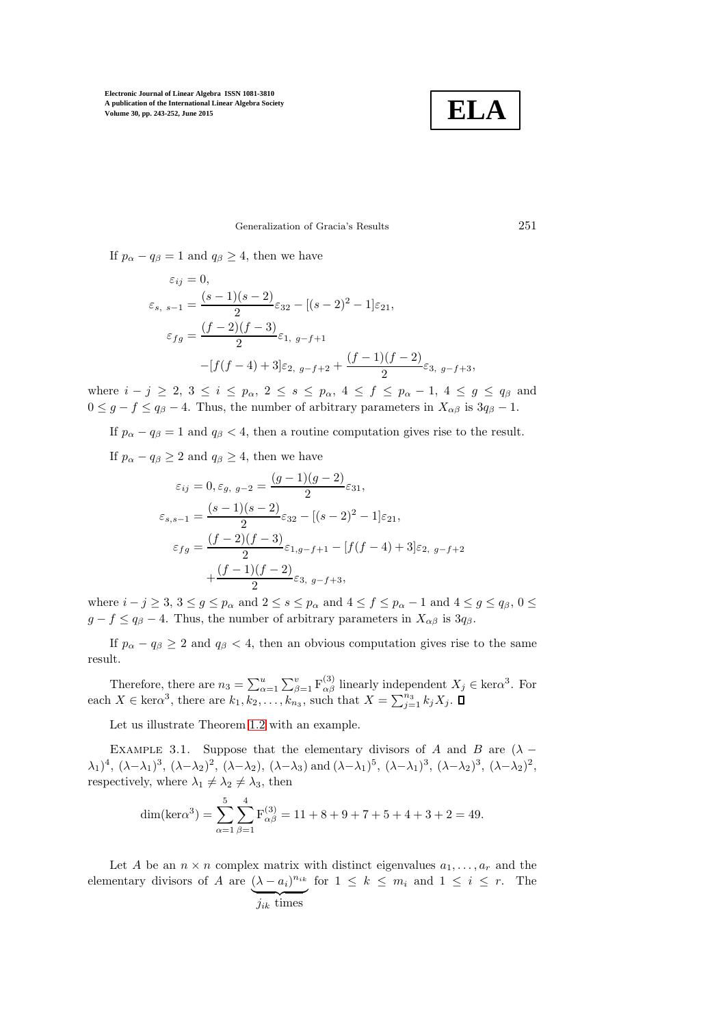

## Generalization of Gracia's Results 251

If  $p_{\alpha} - q_{\beta} = 1$  and  $q_{\beta} \ge 4$ , then we have

$$
\varepsilon_{ij} = 0,
$$
  
\n
$$
\varepsilon_{s, s-1} = \frac{(s-1)(s-2)}{2} \varepsilon_{32} - [(s-2)^2 - 1] \varepsilon_{21},
$$
  
\n
$$
\varepsilon_{fg} = \frac{(f-2)(f-3)}{2} \varepsilon_{1, g-f+1}
$$
  
\n
$$
-[f(f-4) + 3] \varepsilon_{2, g-f+2} + \frac{(f-1)(f-2)}{2} \varepsilon_{3, g-f+3},
$$

where  $i - j \ge 2$ ,  $3 \le i \le p_\alpha$ ,  $2 \le s \le p_\alpha$ ,  $4 \le f \le p_\alpha - 1$ ,  $4 \le g \le q_\beta$  and  $0 \leq g - f \leq q_{\beta} - 4$ . Thus, the number of arbitrary parameters in  $X_{\alpha\beta}$  is  $3q_{\beta} - 1$ .

If  $p_{\alpha} - q_{\beta} = 1$  and  $q_{\beta} < 4$ , then a routine computation gives rise to the result.

If  $p_{\alpha} - q_{\beta} \geq 2$  and  $q_{\beta} \geq 4$ , then we have

$$
\varepsilon_{ij} = 0, \varepsilon_{g, g-2} = \frac{(g-1)(g-2)}{2} \varepsilon_{31},
$$
  

$$
\varepsilon_{s,s-1} = \frac{(s-1)(s-2)}{2} \varepsilon_{32} - [(s-2)^2 - 1] \varepsilon_{21},
$$
  

$$
\varepsilon_{fg} = \frac{(f-2)(f-3)}{2} \varepsilon_{1,g-f+1} - [f(f-4) + 3] \varepsilon_{2, g-f+2}
$$
  

$$
+ \frac{(f-1)(f-2)}{2} \varepsilon_{3, g-f+3},
$$

where  $i - j \ge 3$ ,  $3 \le g \le p_\alpha$  and  $2 \le s \le p_\alpha$  and  $4 \le f \le p_\alpha - 1$  and  $4 \le g \le q_\beta$ ,  $0 \le$  $g - f \leq q_{\beta} - 4$ . Thus, the number of arbitrary parameters in  $X_{\alpha\beta}$  is  $3q_{\beta}$ .

If  $p_{\alpha} - q_{\beta} \ge 2$  and  $q_{\beta} < 4$ , then an obvious computation gives rise to the same result.

Therefore, there are  $n_3 = \sum_{\alpha=1}^u \sum_{\beta=1}^v F_{\alpha\beta}^{(3)}$  linearly independent  $X_j \in \text{ker}\alpha^3$ . For each  $X \in \text{ker}\alpha^3$ , there are  $k_1, k_2, \ldots, k_{n_3}$ , such that  $X = \sum_{j=1}^{n_3} k_j X_j$ .

Let us illustrate Theorem [1.2](#page-2-1) with an example.

EXAMPLE 3.1. Suppose that the elementary divisors of A and B are  $(\lambda (\lambda_1)^4$ ,  $(\lambda-\lambda_1)^3$ ,  $(\lambda-\lambda_2)^2$ ,  $(\lambda-\lambda_2)$ ,  $(\lambda-\lambda_3)$  and  $(\lambda-\lambda_1)^5$ ,  $(\lambda-\lambda_1)^3$ ,  $(\lambda-\lambda_2)^3$ ,  $(\lambda-\lambda_2)^2$ , respectively, where  $\lambda_1 \neq \lambda_2 \neq \lambda_3$ , then

$$
\dim(\text{ker}\alpha^3) = \sum_{\alpha=1}^5 \sum_{\beta=1}^4 F_{\alpha\beta}^{(3)} = 11 + 8 + 9 + 7 + 5 + 4 + 3 + 2 = 49.
$$

Let A be an  $n \times n$  complex matrix with distinct eigenvalues  $a_1, \ldots, a_r$  and the elementary divisors of A are  $(\lambda - a_i)^{n_{ik}}$  for  $1 \leq k \leq m_i$  and  $1 \leq i \leq r$ . The  $j_{ik}$  times